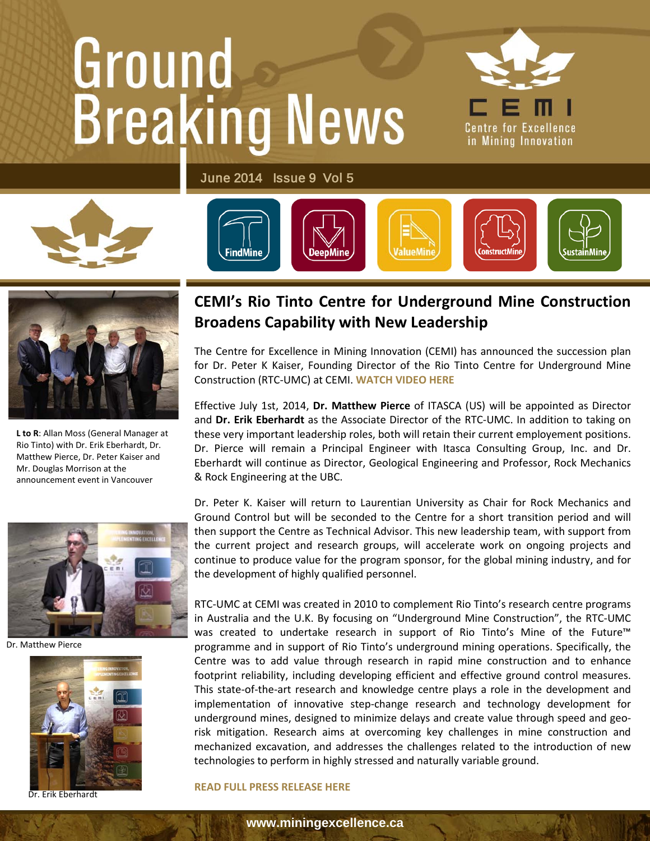# Ground



June 2014 Issue 9 Vol 5







**L to R**: Allan Moss (General Manager at Rio Tinto) with Dr. Erik Eberhardt, Dr. Matthew Pierce, Dr. Peter Kaiser and Mr. Douglas Morrison at the announcement event in Vancouver



Dr. Matthew Pierce



Dr. Erik Eberhardt

#### **CEMI's Rio Tinto Centre for Underground Mine Construction** neders Canability with New **Broadens Capability with New Leadership**

The Centre for Excellence in Mining Innovation (CEMI) has announced the succession plan for Dr. Peter K Kaiser, Founding Director of the Rio Tinto Centre for Underground Mine Construction (RTC-UMC) at CEMI. **[WATCH VIDEO HERE](http://vimeo.com/miningexcellence/review/97665269/741566cea4)**

Effective July 1st, 2014, **Dr. Matthew Pierce** of ITASCA (US) will be appointed as Director and **Dr. Erik Eberhardt** as the Associate Director of the RTC-UMC. In addition to taking on these very important leadership roles, both will retain their current employement positions. Dr. Pierce will remain a Principal Engineer with Itasca Consulting Group, Inc. and Dr. Eberhardt will continue as Director, Geological Engineering and Professor, Rock Mechanics & Rock Engineering at the UBC.

Dr. Peter K. Kaiser will return to Laurentian University as Chair for Rock Mechanics and Ground Control but will be seconded to the Centre for a short transition period and will then support the Centre as Technical Advisor. This new leadership team, with support from the current project and research groups, will accelerate work on ongoing projects and continue to produce value for the program sponsor, for the global mining industry, and for the development of highly qualified personnel.

RTC-UMC at CEMI was created in 2010 to complement Rio Tinto's research centre programs in Australia and the U.K. By focusing on "Underground Mine Construction", the RTC-UMC was created to undertake research in support of Rio Tinto's Mine of the Future™ programme and in support of Rio Tinto's underground mining operations. Specifically, the Centre was to add value through research in rapid mine construction and to enhance footprint reliability, including developing efficient and effective ground control measures. This state-of-the-art research and knowledge centre plays a role in the development and implementation of innovative step-change research and technology development for underground mines, designed to minimize delays and create value through speed and georisk mitigation. Research aims at overcoming key challenges in mine construction and mechanized excavation, and addresses the challenges related to the introduction of new technologies to perform in highly stressed and naturally variable ground.

#### **[READ FULL PRESS RELEASE HERE](https://www.miningexcellence.ca/?p=3306)**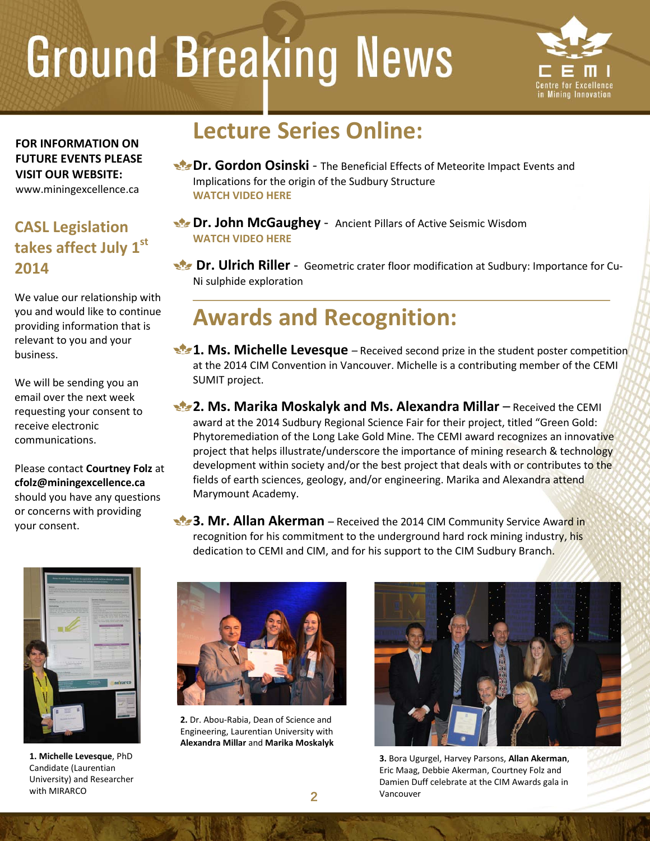

**FOR INFORMATION ON FUTURE EVENTS PLEASE VISIT OUR WEBSITE:** [www.miningexcellence.ca](http://www.miningexcellence.ca/)

#### **CASL Legislation takes affect July 1st 2014**

We value our relationship with you and would like to continue providing information that is relevant to you and your business.

receive electronic We will be sending you an email over the next week requesting your consent to communications.

 $\ddot{\phantom{0}}$ Please contact **Courtney Folz** at **[cfolz@miningexcellence.ca](mailto:cfolz@miningexcellence.ca)** should you have any questions or concerns with providing your consent.



**1. Michelle Levesque**, PhD Candidate (Laurentian University) and Researcher with MIRARCO

### **Lecture Series Online:**

- **Dr. Gordon Osinski** The Beneficial Effects of Meteorite Impact Events and Implications for the origin of the Sudbury Structure **[WATCH VIDEO HERE](https://vimeo.com/miningexcellence/review/91168333/c54c21be15)**
- **Dr. John McGaughey** Ancient Pillars of Active Seismic Wisdom **[WATCH VIDEO HERE](http://vimeo.com/miningexcellence/review/96519147/70c41c89d7)**

**Dr. Ulrich Riller** - Geometric crater floor modification at Sudbury: Importance for Cu-Ni sulphide exploration

### **Awards and Recognition:**

**1. Ms. Michelle Levesque** – Received second prize in the student poster competition at the 2014 CIM Convention in Vancouver. Michelle is a contributing member of the CEMI SUMIT project.

**2. Ms. Marika Moskalyk and Ms. Alexandra Millar** – Received the CEMI award at the 2014 Sudbury Regional Science Fair for their project, titled "Green Gold: Phytoremediation of the Long Lake Gold Mine. The CEMI award recognizes an innovative project that helps illustrate/underscore the importance of mining research & technology development within society and/or the best project that deals with or contributes to the fields of earth sciences, geology, and/or engineering. Marika and Alexandra attend Marymount Academy.

**3. Mr. Allan Akerman** – Received the 2014 CIM Community Service Award in recognition for his commitment to the underground hard rock mining industry, his dedication to CEMI and CIM, and for his support to the CIM Sudbury Branch.



**2.** Dr. Abou-Rabia, Dean of Science and Engineering, Laurentian University with **Alexandra Millar** and **Marika Moskalyk**



**3.** Bora Ugurgel, Harvey Parsons, **Allan Akerman**, Eric Maag, Debbie Akerman, Courtney Folz and Damien Duff celebrate at the CIM Awards gala in Vancouver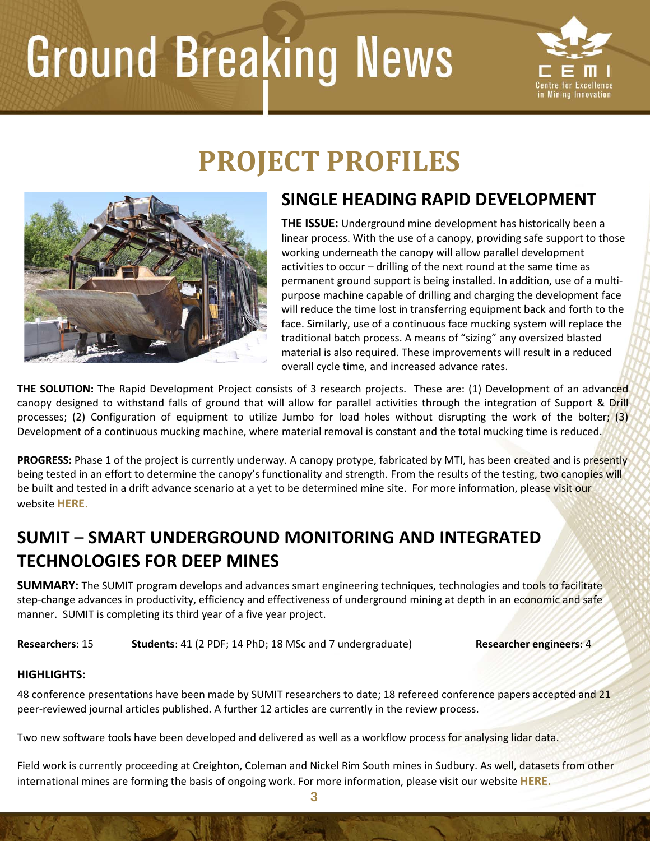

## **PROJECT PROFILES**



#### **SINGLE HEADING RAPID DEVELOPMENT**

**THE ISSUE:** Underground mine development has historically been a linear process. With the use of a canopy, providing safe support to those working underneath the canopy will allow parallel development activities to occur – drilling of the next round at the same time as permanent ground support is being installed. In addition, use of a multipurpose machine capable of drilling and charging the development face will reduce the time lost in transferring equipment back and forth to the face. Similarly, use of a continuous face mucking system will replace the traditional batch process. A means of "sizing" any oversized blasted material is also required. These improvements will result in a reduced overall cycle time, and increased advance rates.

**THE SOLUTION:** The Rapid Development Project consists of 3 research projects. These are: (1) Development of an advanced canopy designed to withstand falls of ground that will allow for parallel activities through the integration of Support & Drill processes; (2) Configuration of equipment to utilize Jumbo for load holes without disrupting the work of the bolter; (3) Development of a continuous mucking machine, where material removal is constant and the total mucking time is reduced.

**PROGRESS:** Phase 1 of the project is currently underway. A canopy protype, fabricated by MTI, has been created and is presently being tested in an effort to determine the canopy's functionality and strength. From the results of the testing, two canopies will be built and tested in a drift advance scenario at a yet to be determined mine site. For more information, please visit our website **[HERE](https://www.miningexcellence.ca/?p=1805)**.

#### **SUMIT** – **SMART UNDERGROUND MONITORING AND INTEGRATED TECHNOLOGIES FOR DEEP MINES**

**SUMMARY:** The SUMIT program develops and advances smart engineering techniques, technologies and tools to facilitate step-change advances in productivity, efficiency and effectiveness of underground mining at depth in an economic and safe manner. SUMIT is completing its third year of a five year project.

**Researchers**: 15 **Students**: 41 (2 PDF; 14 PhD; 18 MSc and 7 undergraduate) **Researcher engineers**: 4

#### **HIGHLIGHTS:**

48 conference presentations have been made by SUMIT researchers to date; 18 refereed conference papers accepted and 21 peer-reviewed journal articles published. A further 12 articles are currently in the review process.

Two new software tools have been developed and delivered as well as a workflow process for analysing lidar data.

Field work is currently proceeding at Creighton, Coleman and Nickel Rim South mines in Sudbury. As well, datasets from other international mines are forming the basis of ongoing work. For more information, please visit our website **[HERE.](https://www.miningexcellence.ca/?p=3335)**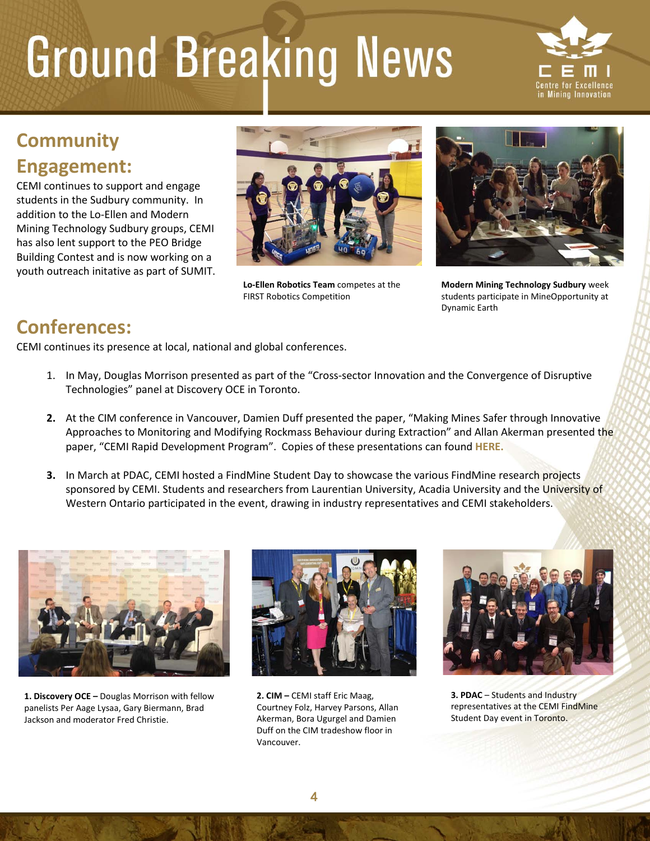

#### **Community Engagement:**

CEMI continues to support and engage students in the Sudbury community. In addition to the Lo-Ellen and Modern Mining Technology Sudbury groups, CEMI has also lent support to the PEO Bridge Building Contest and is now working on a youth outreach initative as part of SUMIT.



**Lo-Ellen Robotics Team** competes at the FIRST Robotics Competition



**Modern Mining Technology Sudbury** week students participate in MineOpportunity at Dynamic Earth

#### **Conferences:**

CEMI continues its presence at local, national and global conferences.

- 1. In May, Douglas Morrison presented as part of the "Cross-sector Innovation and the Convergence of Disruptive Technologies" panel at Discovery OCE in Toronto.
- **2.** At the CIM conference in Vancouver, Damien Duff presented the paper, "Making Mines Safer through Innovative Approaches to Monitoring and Modifying Rockmass Behaviour during Extraction" and Allan Akerman presented the paper, "CEMI Rapid Development Program". Copies of these presentations can found **[HERE.](https://www.miningexcellence.ca/?p=3287)**
- **3.** In March at PDAC, CEMI hosted a FindMine Student Day to showcase the various FindMine research projects sponsored by CEMI. Students and researchers from Laurentian University, Acadia University and the University of Western Ontario participated in the event, drawing in industry representatives and CEMI stakeholders.



**1. Discovery OCE –** Douglas Morrison with fellow panelists [Per Aage Lysaa,](http://www.ocediscovery.com/presenters/speakers/Profile/Per-Aage-Lysaa/) [Gary Biermann,](http://www.ocediscovery.com/presenters/speakers/Profile/Gary-Biermann/) [Brad](http://www.ocediscovery.com/presenters/speakers/Profile/Brad-Jackson/)  [Jackson](http://www.ocediscovery.com/presenters/speakers/Profile/Brad-Jackson/) and moderator Fred Christie.



**2. CIM –** CEMI staff Eric Maag, Courtney Folz, Harvey Parsons, Allan Akerman, Bora Ugurgel and Damien Duff on the CIM tradeshow floor in Vancouver.



**3. PDAC** – Students and Industry representatives at the CEMI FindMine Student Day event in Toronto.